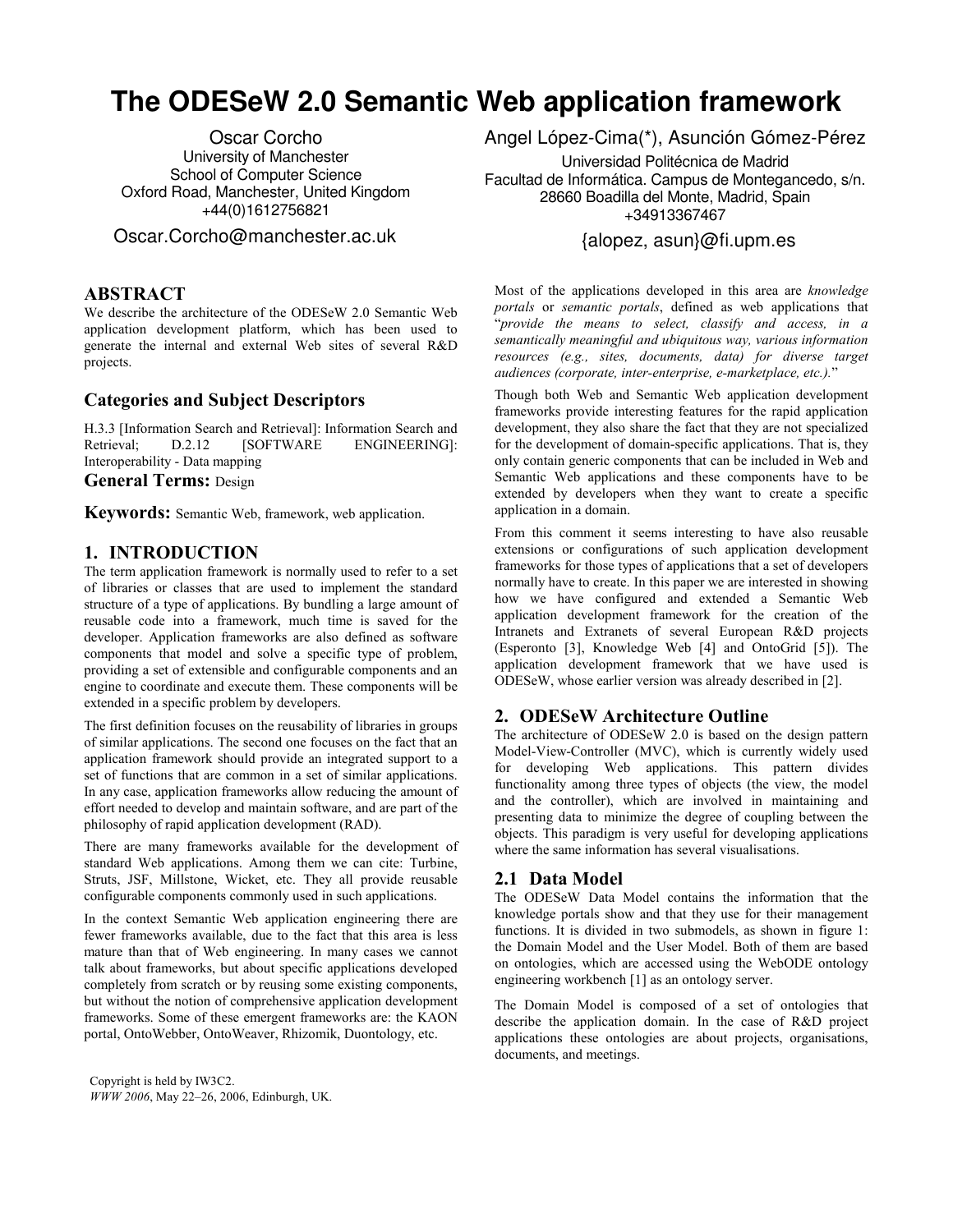# **The ODESeW 2.0 Semantic Web application framework**

Oscar Corcho University of Manchester School of Computer Science Oxford Road, Manchester, United Kingdom +44(0)1612756821

Oscar.Corcho@manchester.ac.uk

## **ABSTRACT**

We describe the architecture of the ODESeW 2.0 Semantic Web application development platform, which has been used to generate the internal and external Web sites of several R&D projects.

# **Categories and Subject Descriptors**

H.3.3 [Information Search and Retrieval]: Information Search and Retrieval:  $D.2.12$  [SOFTWARE ENGINEERING]: Interoperability - Data mapping

#### **General Terms: Design**

Keywords: Semantic Web, framework, web application.

## 1. INTRODUCTION

The term application framework is normally used to refer to a set of libraries or classes that are used to implement the standard structure of a type of applications. By bundling a large amount of reusable code into a framework, much time is saved for the developer. Application frameworks are also defined as software components that model and solve a specific type of problem, providing a set of extensible and configurable components and an engine to coordinate and execute them. These components will be extended in a specific problem by developers.

The first definition focuses on the reusability of libraries in groups of similar applications. The second one focuses on the fact that an application framework should provide an integrated support to a set of functions that are common in a set of similar applications. In any case, application frameworks allow reducing the amount of effort needed to develop and maintain software, and are part of the philosophy of rapid application development (RAD).

There are many frameworks available for the development of standard Web applications. Among them we can cite: Turbine, Struts, JSF, Millstone, Wicket, etc. They all provide reusable configurable components commonly used in such applications.

In the context Semantic Web application engineering there are fewer frameworks available, due to the fact that this area is less mature than that of Web engineering. In many cases we cannot talk about frameworks, but about specific applications developed completely from scratch or by reusing some existing components, but without the notion of comprehensive application development frameworks. Some of these emergent frameworks are: the KAON portal, OntoWebber, OntoWeaver, Rhizomik, Duontology, etc.

Copyright is held by IW3C2. WWW 2006, May 22-26, 2006, Edinburgh, UK. Angel López-Cima(\*), Asunción Gómez-Pérez

Universidad Politécnica de Madrid Facultad de Informática. Campus de Montegancedo, s/n. 28660 Boadilla del Monte, Madrid, Spain +34913367467

## {alopez, asun}@fi.upm.es

Most of the applications developed in this area are knowledge portals or semantic portals, defined as web applications that "provide the means to select, classify and access, in a semantically meaningful and ubiquitous way, various information resources (e.g., sites, documents, data) for diverse target audiences (corporate, inter-enterprise, e-marketplace, etc.)."

Though both Web and Semantic Web application development frameworks provide interesting features for the rapid application development, they also share the fact that they are not specialized for the development of domain-specific applications. That is, they only contain generic components that can be included in Web and Semantic Web applications and these components have to be extended by developers when they want to create a specific application in a domain.

From this comment it seems interesting to have also reusable extensions or configurations of such application development frameworks for those types of applications that a set of developers normally have to create. In this paper we are interested in showing how we have configured and extended a Semantic Web application development framework for the creation of the Intranets and Extranets of several European R&D projects  $(Esperonto [3], Knowledge Web [4] and OntoGrid [5]). The$ application development framework that we have used is ODESeW, whose earlier version was already described in [2].

## 2. ODESeW Architecture Outline

The architecture of ODESeW 2.0 is based on the design pattern Model-View-Controller (MVC), which is currently widely used for developing Web applications. This pattern divides functionality among three types of objects (the view, the model and the controller), which are involved in maintaining and presenting data to minimize the degree of coupling between the objects. This paradigm is very useful for developing applications where the same information has several visualisations.

#### 2.1 Data Model

The ODESeW Data Model contains the information that the knowledge portals show and that they use for their management functions. It is divided in two submodels, as shown in figure 1: the Domain Model and the User Model. Both of them are based on ontologies, which are accessed using the WebODE ontology engineering workbench [1] as an ontology server.

The Domain Model is composed of a set of ontologies that describe the application domain. In the case of R&D project applications these ontologies are about projects, organisations, documents, and meetings.